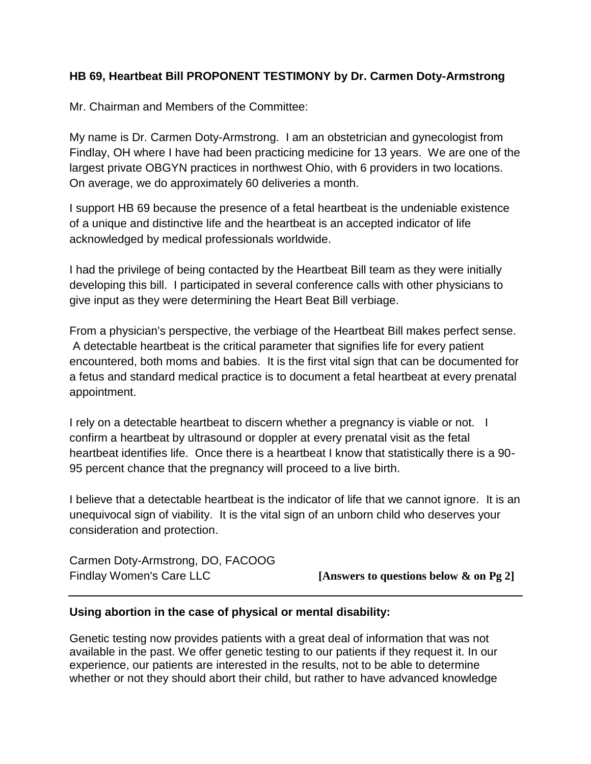## **HB 69, Heartbeat Bill PROPONENT TESTIMONY by Dr. Carmen Doty-Armstrong**

Mr. Chairman and Members of the Committee:

My name is Dr. Carmen Doty-Armstrong. I am an obstetrician and gynecologist from Findlay, OH where I have had been practicing medicine for 13 years. We are one of the largest private OBGYN practices in northwest Ohio, with 6 providers in two locations. On average, we do approximately 60 deliveries a month.

I support HB 69 because the presence of a fetal heartbeat is the undeniable existence of a unique and distinctive life and the heartbeat is an accepted indicator of life acknowledged by medical professionals worldwide.

I had the privilege of being contacted by the Heartbeat Bill team as they were initially developing this bill. I participated in several conference calls with other physicians to give input as they were determining the Heart Beat Bill verbiage.

From a physician's perspective, the verbiage of the Heartbeat Bill makes perfect sense. A detectable heartbeat is the critical parameter that signifies life for every patient encountered, both moms and babies. It is the first vital sign that can be documented for a fetus and standard medical practice is to document a fetal heartbeat at every prenatal appointment.

I rely on a detectable heartbeat to discern whether a pregnancy is viable or not. I confirm a heartbeat by ultrasound or doppler at every prenatal visit as the fetal heartbeat identifies life. Once there is a heartbeat I know that statistically there is a 90- 95 percent chance that the pregnancy will proceed to a live birth.

I believe that a detectable heartbeat is the indicator of life that we cannot ignore. It is an unequivocal sign of viability. It is the vital sign of an unborn child who deserves your consideration and protection.

| Carmen Doty-Armstrong, DO, FACOOG |                                           |
|-----------------------------------|-------------------------------------------|
| Findlay Women's Care LLC          | [Answers to questions below $\&$ on Pg 2] |

## **Using abortion in the case of physical or mental disability:**

Genetic testing now provides patients with a great deal of information that was not available in the past. We offer genetic testing to our patients if they request it. In our experience, our patients are interested in the results, not to be able to determine whether or not they should abort their child, but rather to have advanced knowledge